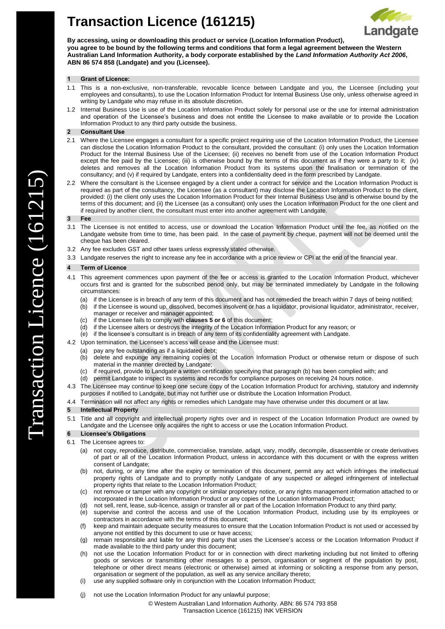# **Transaction Licence (161215)**



**By accessing, using or downloading this product or service (Location Information Product), you agree to be bound by the following terms and conditions that form a legal agreement between the Western Australian Land Information Authority, a body corporate established by the** *Land Information Authority Act 2006***, ABN 86 574 858 (Landgate) and you (Licensee).** 

#### **1 Grant of Licence:**

- 1.1 This is a non-exclusive, non-transferable, revocable licence between Landgate and you, the Licensee (including your employees and consultants), to use the Location Information Product for Internal Business Use only, unless otherwise agreed in writing by Landgate who may refuse in its absolute discretion.
- 1.2 Internal Business Use is use of the Location Information Product solely for personal use or the use for internal administration and operation of the Licensee's business and does not entitle the Licensee to make available or to provide the Location Information Product to any third party outside the business.

## **2 Consultant Use**

- 2.1 Where the Licensee engages a consultant for a specific project requiring use of the Location Information Product, the Licensee can disclose the Location Information Product to the consultant, provided the consultant: (i) only uses the Location Information Product for the Internal Business Use of the Licensee; (ii) receives no benefit from use of the Location Information Product except the fee paid by the Licensee; (iii) is otherwise bound by the terms of this document as if they were a party to it; (iv) deletes and removes all the Location Information Product from its systems upon the finalisation or termination of the consultancy; and (v) if required by Landgate, enters into a confidentiality deed in the form prescribed by Landgate.
- 2.2 Where the consultant is the Licensee engaged by a client under a contract for service and the Location Information Product is required as part of the consultancy, the Licensee (as a consultant) may disclose the Location Information Product to the client, provided: (i) the client only uses the Location Information Product for their Internal Business Use and is otherwise bound by the terms of this document; and (ii) the Licensee (as a consultant) only uses the Location Information Product for the one client and if required by another client, the consultant must enter into another agreement with Landgate.

## **3 Fee**

- 3.1 The Licensee is not entitled to access, use or download the Location Information Product until the fee, as notified on the Landgate website from time to time, has been paid. In the case of payment by cheque, payment will not be deemed until the cheque has been cleared.
- 3.2 Any fee excludes GST and other taxes unless expressly stated otherwise.
- 3.3 Landgate reserves the right to increase any fee in accordance with a price review or CPI at the end of the financial year.

#### **4 Term of Licence**

- 4.1 This agreement commences upon payment of the fee or access is granted to the Location Information Product, whichever occurs first and is granted for the subscribed period only, but may be terminated immediately by Landgate in the following circumstances:
	- (a) if the Licensee is in breach of any term of this document and has not remedied the breach within 7 days of being notified;
	- (b) if the Licensee is wound up, dissolved, becomes insolvent or has a liquidator, provisional liquidator, administrator, receiver, manager or receiver and manager appointed;
	- (c) if the Licensee fails to comply with **clauses [5](#page-0-0) o[r 6](#page-0-1)** of this document;
	- if the Licensee alters or destroys the integrity of the Location Information Product for any reason; or
	- (e) if the licensee's consultant is in breach of any term of its confidentiality agreement with Landgate.
- 4.2 Upon termination, the Licensee's access will cease and the Licensee must:
	- (a) pay any fee outstanding as if a liquidated debt;
	- (b) delete and expunge any remaining copies of the Location Information Product or otherwise return or dispose of such material in the manner directed by Landgate;
	- (c) if required, provide to Landgate a written certification specifying that paragraph (b) has been complied with; and
	- (d) permit Landgate to inspect its systems and records for compliance purposes on receiving 24 hours notice.
- 4.3 The Licensee may continue to keep one secure copy of the Location Information Product for archiving, statutory and indemnity purposes if notified to Landgate, but may not further use or distribute the Location Information Product.
- 4.4 Termination will not affect any rights or remedies which Landgate may have otherwise under this document or at law.

## <span id="page-0-0"></span>**5 Intellectual Property**

5.1 Title and all copyright and intellectual property rights over and in respect of the Location Information Product are owned by Landgate and the Licensee only acquires the right to access or use the Location Information Product.

## <span id="page-0-1"></span>**6 Licensee's Obligations**

- 6.1 The Licensee agrees to:
	- (a) not copy, reproduce, distribute, commercialise, translate, adapt, vary, modify, decompile, disassemble or create derivatives of part or all of the Location Information Product, unless in accordance with this document or with the express written consent of Landgate;
	- (b) not, during, or any time after the expiry or termination of this document, permit any act which infringes the intellectual property rights of Landgate and to promptly notify Landgate of any suspected or alleged infringement of intellectual property rights that relate to the Location Information Product;
	- (c) not remove or tamper with any copyright or similar proprietary notice, or any rights management information attached to or incorporated in the Location Information Product or any copies of the Location Information Product;
	- (d) not sell, rent, lease, sub-licence, assign or transfer all or part of the Location Information Product to any third party;
	- (e) supervise and control the access and use of the Location Information Product, including use by its employees or contractors in accordance with the terms of this document;
	- (f) keep and maintain adequate security measures to ensure that the Location Information Product is not used or accessed by anyone not entitled by this document to use or have access;
	- (g) remain responsible and liable for any third party that uses the Licensee's access or the Location Information Product if made available to the third party under this document;
	- (h) not use the Location Information Product for or in connection with direct marketing including but not limited to offering goods or services or transmitting other messages to a person, organisation or segment of the population by post, telephone or other direct means (electronic or otherwise) aimed at informing or soliciting a response from any person, organisation or segment of the population, as well as any service ancillary thereto;
	- (i) use any supplied software only in conjunction with the Location Information Product;
	- (j) not use the Location Information Product for any unlawful purpose;

© Western Australian Land Information Authority. ABN: 86 574 793 858 Transaction Licence (161215) INK VERSION

 $\curvearrowright$